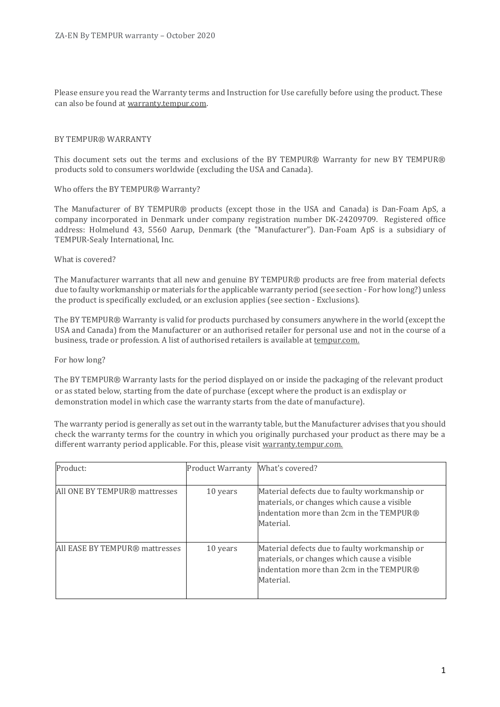Please ensure you read the Warranty terms and Instruction for Use carefully before using the product. These can also be found at warranty.tempur.com.

### BY TEMPUR® WARRANTY

This document sets out the terms and exclusions of the BY TEMPUR® Warranty for new BY TEMPUR® products sold to consumers worldwide (excluding the USA and Canada).

### Who offers the BY TEMPUR® Warranty?

The Manufacturer of BY TEMPUR® products (except those in the USA and Canada) is Dan-Foam ApS, a company incorporated in Denmark under company registration number DK-24209709. Registered office address: Holmelund 43, 5560 Aarup, Denmark (the "Manufacturer"). Dan-Foam ApS is a subsidiary of TEMPUR-Sealy International, Inc.

#### What is covered?

The Manufacturer warrants that all new and genuine BY TEMPUR® products are free from material defects due to faulty workmanship or materials for the applicable warranty period (see section - For how long?) unless the product is specifically excluded, or an exclusion applies (see section - Exclusions).

The BY TEMPUR® Warranty is valid for products purchased by consumers anywhere in the world (except the USA and Canada) from the Manufacturer or an authorised retailer for personal use and not in the course of a business, trade or profession. A list of authorised retailers is available at tempur.com.

#### For how long?

The BY TEMPUR® Warranty lasts for the period displayed on or inside the packaging of the relevant product or as stated below, starting from the date of purchase (except where the product is an exdisplay or demonstration model in which case the warranty starts from the date of manufacture).

The warranty period is generally as set out in the warranty table, but the Manufacturer advises that you should check the warranty terms for the country in which you originally purchased your product as there may be a different warranty period applicable. For this, please visit warranty.tempur.com.

| Product:                       | <b>Product Warranty</b> | What's covered?                                                                                                                                       |
|--------------------------------|-------------------------|-------------------------------------------------------------------------------------------------------------------------------------------------------|
| All ONE BY TEMPUR® mattresses  | 10 years                | Material defects due to faulty workmanship or<br>materials, or changes which cause a visible<br>indentation more than 2cm in the TEMPUR®<br>Material. |
| All EASE BY TEMPUR® mattresses | 10 years                | Material defects due to faulty workmanship or<br>materials, or changes which cause a visible<br>indentation more than 2cm in the TEMPUR®<br>Material. |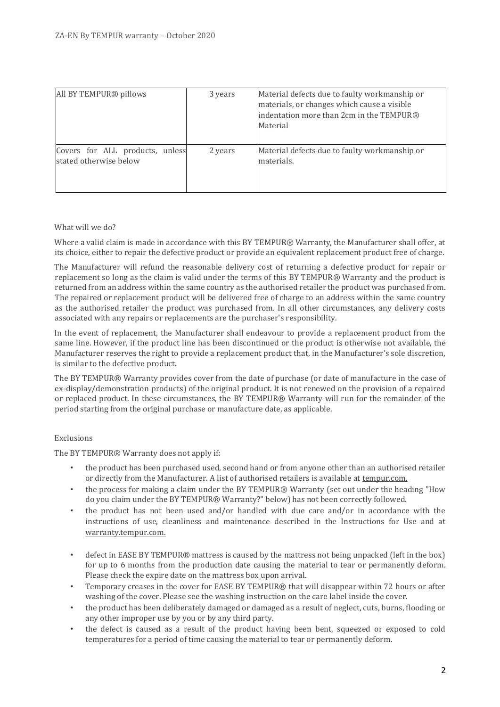| All BY TEMPUR® pillows                                    | 3 years | Material defects due to faulty workmanship or<br>materials, or changes which cause a visible<br>indentation more than 2cm in the TEMPUR®<br>Material |
|-----------------------------------------------------------|---------|------------------------------------------------------------------------------------------------------------------------------------------------------|
| Covers for ALL products, unless<br>stated otherwise below | 2 years | Material defects due to faulty workmanship or<br>materials.                                                                                          |

# What will we do?

Where a valid claim is made in accordance with this BY TEMPUR® Warranty, the Manufacturer shall offer, at its choice, either to repair the defective product or provide an equivalent replacement product free of charge.

The Manufacturer will refund the reasonable delivery cost of returning a defective product for repair or replacement so long as the claim is valid under the terms of this BY TEMPUR® Warranty and the product is returned from an address within the same country as the authorised retailer the product was purchased from. The repaired or replacement product will be delivered free of charge to an address within the same country as the authorised retailer the product was purchased from. In all other circumstances, any delivery costs associated with any repairs or replacements are the purchaser's responsibility.

In the event of replacement, the Manufacturer shall endeavour to provide a replacement product from the same line. However, if the product line has been discontinued or the product is otherwise not available, the Manufacturer reserves the right to provide a replacement product that, in the Manufacturer's sole discretion, is similar to the defective product.

The BY TEMPUR® Warranty provides cover from the date of purchase (or date of manufacture in the case of ex-display/demonstration products) of the original product. It is not renewed on the provision of a repaired or replaced product. In these circumstances, the BY TEMPUR® Warranty will run for the remainder of the period starting from the original purchase or manufacture date, as applicable.

# Exclusions

The BY TEMPUR® Warranty does not apply if:

- the product has been purchased used, second hand or from anyone other than an authorised retailer or directly from the Manufacturer. A list of authorised retailers is available at tempur.com.
- the process for making a claim under the BY TEMPUR® Warranty (set out under the heading "How do you claim under the BY TEMPUR® Warranty?" below) has not been correctly followed.
- the product has not been used and/or handled with due care and/or in accordance with the instructions of use, cleanliness and maintenance described in the Instructions for Use and at warranty.tempur.com.
- defect in EASE BY TEMPUR® mattress is caused by the mattress not being unpacked (left in the box) for up to 6 months from the production date causing the material to tear or permanently deform. Please check the expire date on the mattress box upon arrival.
- Temporary creases in the cover for EASE BY TEMPUR® that will disappear within 72 hours or after washing of the cover. Please see the washing instruction on the care label inside the cover.
- the product has been deliberately damaged or damaged as a result of neglect, cuts, burns, flooding or any other improper use by you or by any third party.
- the defect is caused as a result of the product having been bent, squeezed or exposed to cold temperatures for a period of time causing the material to tear or permanently deform.